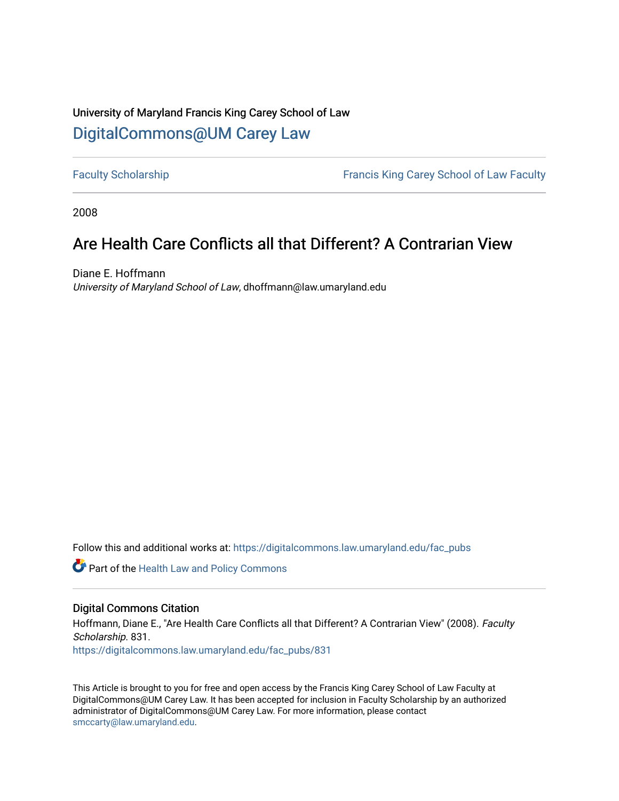## University of Maryland Francis King Carey School of Law [DigitalCommons@UM Carey Law](https://digitalcommons.law.umaryland.edu/)

[Faculty Scholarship](https://digitalcommons.law.umaryland.edu/fac_pubs) **Francis King Carey School of Law Faculty** 

2008

# Are Health Care Conflicts all that Different? A Contrarian View

Diane E. Hoffmann University of Maryland School of Law, dhoffmann@law.umaryland.edu

Follow this and additional works at: [https://digitalcommons.law.umaryland.edu/fac\\_pubs](https://digitalcommons.law.umaryland.edu/fac_pubs?utm_source=digitalcommons.law.umaryland.edu%2Ffac_pubs%2F831&utm_medium=PDF&utm_campaign=PDFCoverPages) 

Part of the [Health Law and Policy Commons](http://network.bepress.com/hgg/discipline/901?utm_source=digitalcommons.law.umaryland.edu%2Ffac_pubs%2F831&utm_medium=PDF&utm_campaign=PDFCoverPages) 

#### Digital Commons Citation

Hoffmann, Diane E., "Are Health Care Conflicts all that Different? A Contrarian View" (2008). Faculty Scholarship. 831. [https://digitalcommons.law.umaryland.edu/fac\\_pubs/831](https://digitalcommons.law.umaryland.edu/fac_pubs/831?utm_source=digitalcommons.law.umaryland.edu%2Ffac_pubs%2F831&utm_medium=PDF&utm_campaign=PDFCoverPages)

This Article is brought to you for free and open access by the Francis King Carey School of Law Faculty at DigitalCommons@UM Carey Law. It has been accepted for inclusion in Faculty Scholarship by an authorized administrator of DigitalCommons@UM Carey Law. For more information, please contact [smccarty@law.umaryland.edu](mailto:smccarty@law.umaryland.edu).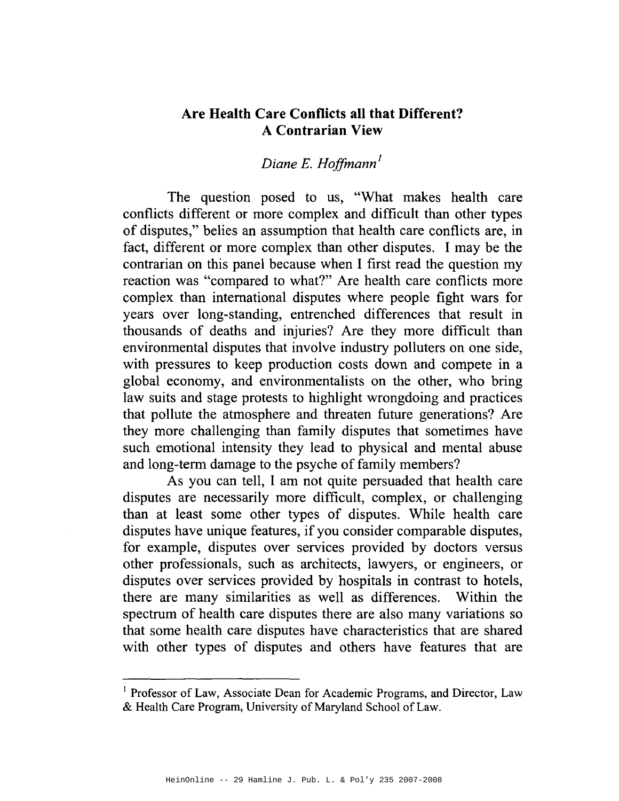### **Are Health Care Conflicts all that Different? A Contrarian View**

## *Diane E. Hoffmann <sup>1</sup>*

The question posed to us, "What makes health care conflicts different or more complex and difficult than other types of disputes," belies an assumption that health care conflicts are, in fact, different or more complex than other disputes. I may be the contrarian on this panel because when I first read the question my reaction was "compared to what?" Are health care conflicts more complex than international disputes where people fight wars for years over long-standing, entrenched differences that result in thousands of deaths and injuries? Are they more difficult than environmental disputes that involve industry polluters on one side, with pressures to keep production costs down and compete in a global economy, and environmentalists on the other, who bring law suits and stage protests to highlight wrongdoing and practices that pollute the atmosphere and threaten future generations? Are they more challenging than family disputes that sometimes have such emotional intensity they lead to physical and mental abuse and long-term damage to the psyche of family members?

As you can tell, I am not quite persuaded that health care disputes are necessarily more difficult, complex, or challenging than at least some other types of disputes. While health care disputes have unique features, if you consider comparable disputes, for example, disputes over services provided by doctors versus other professionals, such as architects, lawyers, or engineers, or disputes over services provided by hospitals in contrast to hotels, there are many similarities as well as differences. Within the spectrum of health care disputes there are also many variations so that some health care disputes have characteristics that are shared with other types of disputes and others have features that are

<sup>&</sup>lt;sup>1</sup> Professor of Law, Associate Dean for Academic Programs, and Director, Law & Health Care Program, University of Maryland School of Law.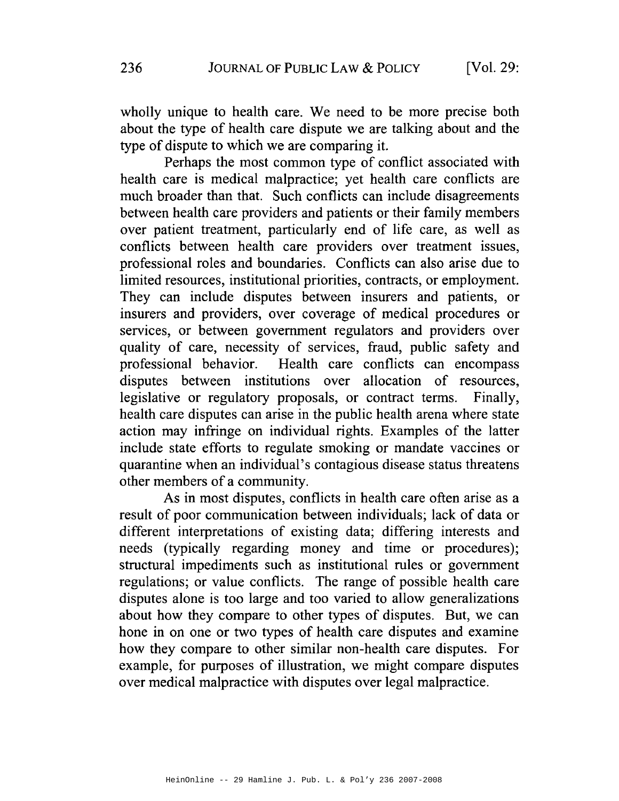wholly unique to health care. We need to be more precise both about the type of health care dispute we are talking about and the type of dispute to which we are comparing it.

Perhaps the most common type of conflict associated with health care is medical malpractice; yet health care conflicts are much broader than that. Such conflicts can include disagreements between health care providers and patients or their family members over patient treatment, particularly end of life care, as well as conflicts between health care providers over treatment issues, professional roles and boundaries. Conflicts can also arise due to limited resources, institutional priorities, contracts, or employment. They can include disputes between insurers and patients, or insurers and providers, over coverage of medical procedures or services, or between government regulators and providers over quality of care, necessity of services, fraud, public safety and professional behavior. Health care conflicts can encompass disputes between institutions over allocation of resources, legislative or regulatory proposals, or contract terms. Finally, health care disputes can arise in the public health arena where state action may infringe on individual rights. Examples of the latter include state efforts to regulate smoking or mandate vaccines or quarantine when an individual's contagious disease status threatens other members of a community.

As in most disputes, conflicts in health care often arise as a result of poor communication between individuals; lack of data or different interpretations of existing data; differing interests and needs (typically regarding money and time or procedures); structural impediments such as institutional rules or government regulations; or value conflicts. The range of possible health care disputes alone is too large and too varied to allow generalizations about how they compare to other types of disputes. But, we can hone in on one or two types of health care disputes and examine how they compare to other similar non-health care disputes. For example, for purposes of illustration, we might compare disputes over medical malpractice with disputes over legal malpractice.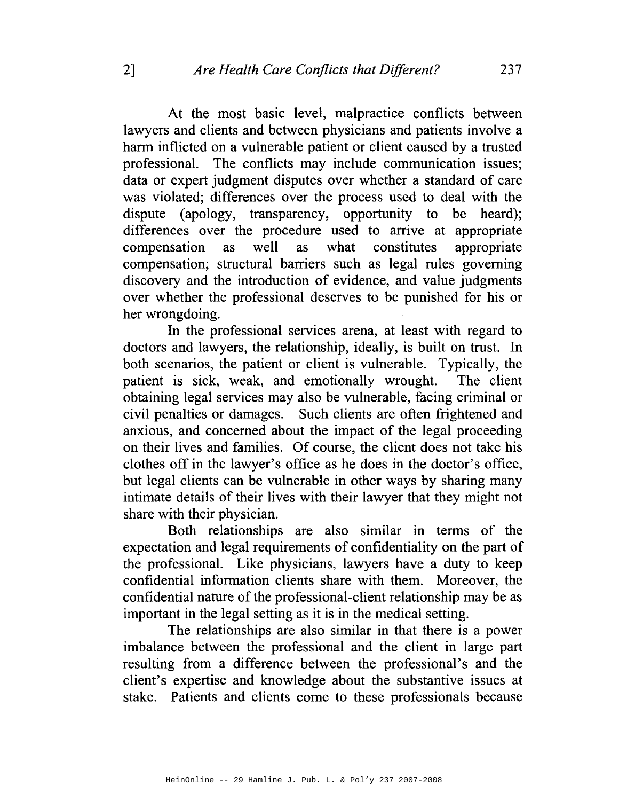At the most basic level, malpractice conflicts between lawyers and clients and between physicians and patients involve a harm inflicted on a vulnerable patient or client caused by a trusted professional. The conflicts may include communication issues; data or expert judgment disputes over whether a standard of care was violated; differences over the process used to deal with the dispute (apology, transparency, opportunity to be heard); differences over the procedure used to arrive at appropriate compensation as well as what constitutes appropriate compensation; structural barriers such as legal rules governing discovery and the introduction of evidence, and value judgments over whether the professional deserves to be punished for his or her wrongdoing.

In the professional services arena, at least with regard to doctors and lawyers, the relationship, ideally, is built on trust. In both scenarios, the patient or client is vulnerable. Typically, the patient is sick, weak, and emotionally wrought. The client obtaining legal services may also be vulnerable, facing criminal or civil penalties or damages. Such clients are often frightened and anxious, and concerned about the impact of the legal proceeding on their lives and families. Of course, the client does not take his clothes off in the lawyer's office as he does in the doctor's office, but legal clients can be vulnerable in other ways by sharing many intimate details of their lives with their lawyer that they might not share with their physician.

Both relationships are also similar in terms of the expectation and legal requirements of confidentiality on the part of the professional. Like physicians, lawyers have a duty to keep confidential information clients share with them. Moreover, the confidential nature of the professional-client relationship may be as important in the legal setting as it is in the medical setting.

The relationships are also similar in that there is a power imbalance between the professional and the client in large part resulting from a difference between the professional's and the client's expertise and knowledge about the substantive issues at stake. Patients and clients come to these professionals because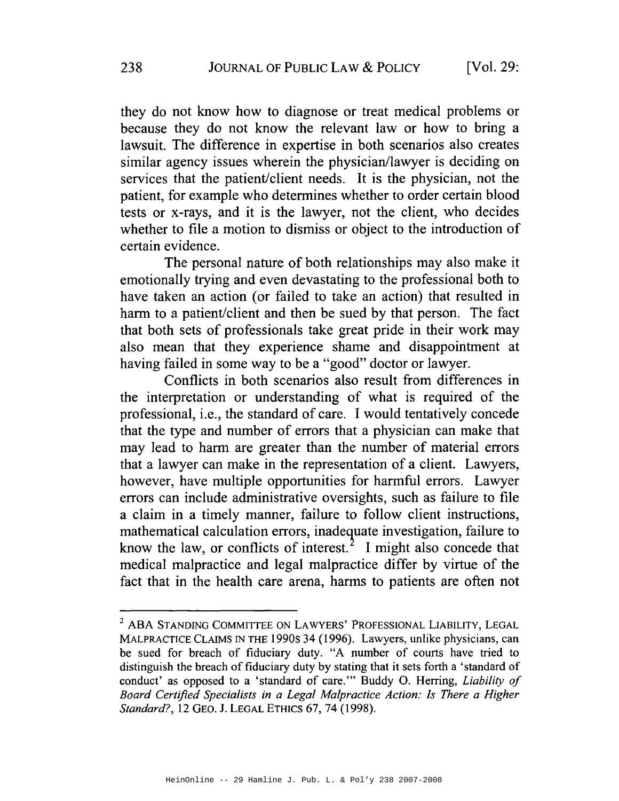they do not know how to diagnose or treat medical problems or because they do not know the relevant law or how to bring a lawsuit. The difference in expertise in both scenarios also creates similar agency issues wherein the physician/lawyer is deciding on services that the patient/client needs. It is the physician, not the patient, for example who determines whether to order certain blood tests or x-rays, and it is the lawyer, not the client, who decides whether to file a motion to dismiss or object to the introduction of certain evidence.

The personal nature of both relationships may also make it emotionally trying and even devastating to the professional both to have taken an action (or failed to take an action) that resulted in harm to a patient/client and then be sued by that person. The fact that both sets of professionals take great pride in their work may also mean that they experience shame and disappointment at having failed in some way to be a "good" doctor or lawyer.

Conflicts in both scenarios also result from differences in the interpretation or understanding of what is required of the professional, i.e., the standard of care. I would tentatively concede that the type and number of errors that a physician can make that may lead to harm are greater than the number of material errors that a lawyer can make in the representation of a client. Lawyers, however, have multiple opportunities for harmful errors. Lawyer errors can include administrative oversights, such as failure to file a claim in a timely manner, failure to follow client instructions, mathematical calculation errors, inadequate investigation, failure to know the law, or conflicts of interest.<sup>2</sup> I might also concede that medical malpractice and legal malpractice differ by virtue of the fact that in the health care arena, harms to patients are often not

<sup>&</sup>lt;sup>2</sup> ABA STANDING COMMITTEE ON LAWYERS' PROFESSIONAL LIABILITY, LEGAL MALPRACTICE CLAIMS IN THE 1990s 34 (1996). Lawyers, unlike physicians, can be sued for breach of fiduciary duty. "A number of courts have tried to distinguish the breach of fiduciary duty by stating that it sets forth a 'standard of conduct' as opposed to a 'standard of care."' Buddy 0. Herring, *Liability of Board Certified Specialists in a Legal Malpractice Action: Is There a Higher Standard?,* 12 GEO. J. LEGAL ETHICS 67, 74 (1998).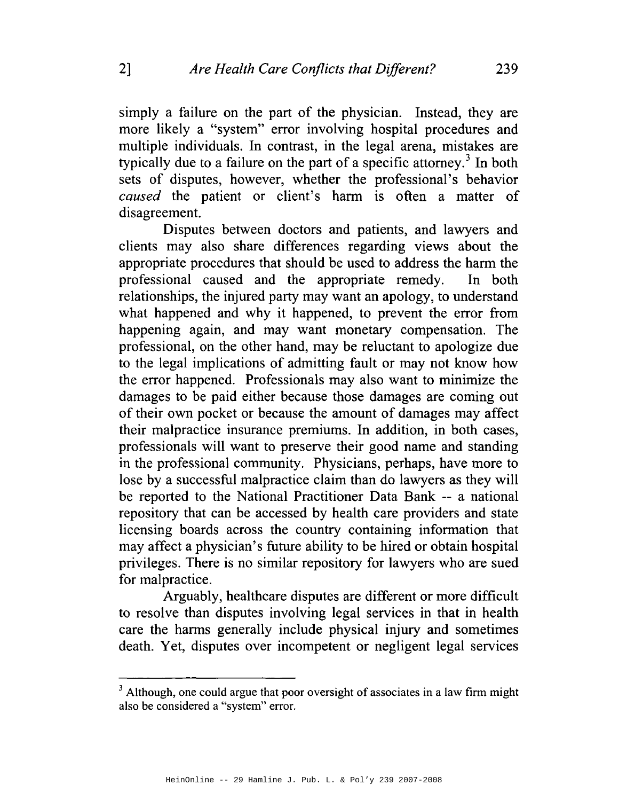simply a failure on the part of the physician. Instead, they are more likely a "system" error involving hospital procedures and multiple individuals. In contrast, in the legal arena, mistakes are typically due to a failure on the part of a specific attorney.<sup>3</sup> In both sets of disputes, however, whether the professional's behavior *caused* the patient or client's harm is often a matter of disagreement.

Disputes between doctors and patients, and lawyers and clients may also share differences regarding views about the appropriate procedures that should be used to address the harm the professional caused and the appropriate remedy. In both relationships, the injured party may want an apology, to understand what happened and why it happened, to prevent the error from happening again, and may want monetary compensation. The professional, on the other hand, may be reluctant to apologize due to the legal implications of admitting fault or may not know how the error happened. Professionals may also want to minimize the damages to be paid either because those damages are coming out of their own pocket or because the amount of damages may affect their malpractice insurance premiums. In addition, in both cases, professionals will want to preserve their good name and standing in the professional community. Physicians, perhaps, have more to lose by a successful malpractice claim than do lawyers as they will be reported to the National Practitioner Data Bank -- a national repository that can be accessed by health care providers and state licensing boards across the country containing information that may affect a physician's future ability to be hired or obtain hospital privileges. There is no similar repository for lawyers who are sued for malpractice.

Arguably, healthcare disputes are different or more difficult to resolve than disputes involving legal services in that in health care the harms generally include physical injury and sometimes death. Yet, disputes over incompetent or negligent legal services

 $3$  Although, one could argue that poor oversight of associates in a law firm might also be considered a "system" error.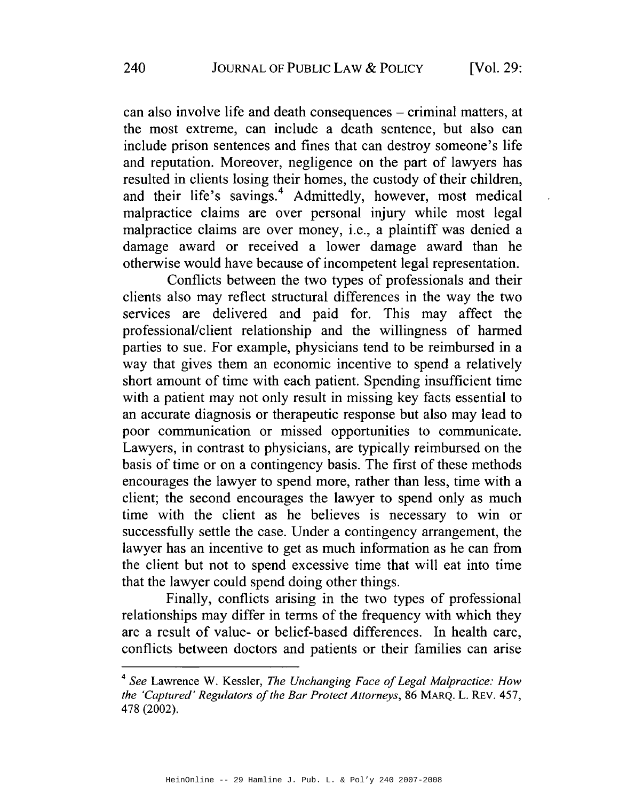can also involve life and death consequences – criminal matters, at the most extreme, can include a death sentence, but also can include prison sentences and fines that can destroy someone's life and reputation. Moreover, negligence on the part of lawyers has resulted in clients losing their homes, the custody of their children, and their life's savings.<sup>4</sup> Admittedly, however, most medical malpractice claims are over personal injury while most legal malpractice claims are over money, i.e., a plaintiff was denied a damage award or received a lower damage award than he otherwise would have because of incompetent legal representation.

Conflicts between the two types of professionals and their clients also may reflect structural differences in the way the two services are delivered and paid for. This may affect the professional/client relationship and the willingness of harmed parties to sue. For example, physicians tend to be reimbursed in a way that gives them an economic incentive to spend a relatively short amount of time with each patient. Spending insufficient time with a patient may not only result in missing key facts essential to an accurate diagnosis or therapeutic response but also may lead to poor communication or missed opportunities to communicate. Lawyers, in contrast to physicians, are typically reimbursed on the basis of time or on a contingency basis. The first of these methods encourages the lawyer to spend more, rather than less, time with a client; the second encourages the lawyer to spend only as much time with the client as he believes is necessary to win or successfully settle the case. Under a contingency arrangement, the lawyer has an incentive to get as much information as he can from the client but not to spend excessive time that will eat into time that the lawyer could spend doing other things.

Finally, conflicts arising in the two types of professional relationships may differ in terms of the frequency with which they are a result of value- or belief-based differences. In health care, conflicts between doctors and patients or their families can arise

<sup>4</sup>*See* Lawrence W. Kessler, *The Unchanging Face of Legal Malpractice: How the 'Captured' Regulators of the Bar Protect Attorneys,* 86 MARQ. L. REv. 457, 478 (2002).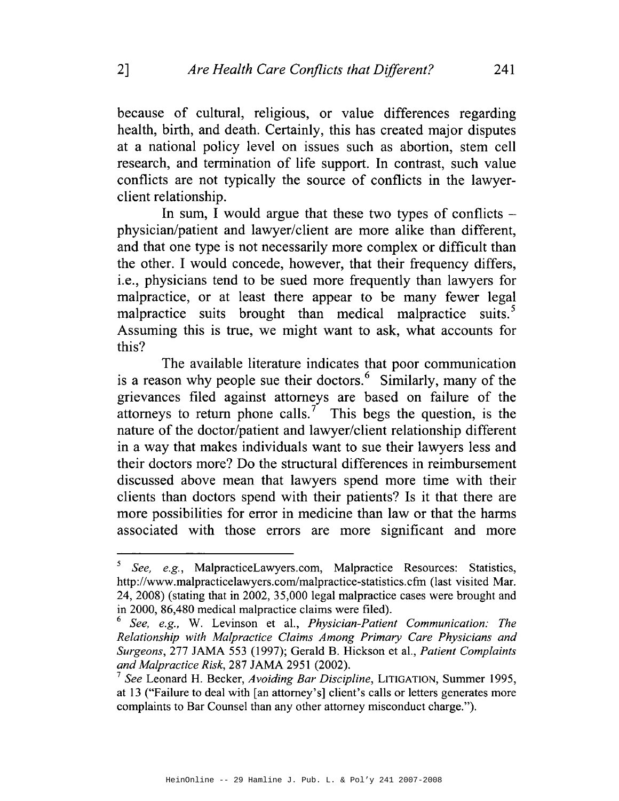because of cultural, religious, or value differences regarding health, birth, and death. Certainly, this has created major disputes at a national policy level on issues such as abortion, stern cell research, and termination of life support. In contrast, such value conflicts are not typically the source of conflicts in the lawyerclient relationship.

In sum, I would argue that these two types of conflicts  $$ physician/patient and lawyer/client are more alike than different, and that one type is not necessarily more complex or difficult than the other. I would concede, however, that their frequency differs, i.e., physicians tend to be sued more frequently than lawyers for malpractice, or at least there appear to be many fewer legal malpractice suits brought than medical malpractice suits.<sup>5</sup> Assuming this is true, we might want to ask, what accounts for this?

The available literature indicates that poor communication is a reason why people sue their doctors.<sup> $6$ </sup> Similarly, many of the grievances filed against attorneys are based on failure of the attorneys to return phone calls.<sup>7</sup> This begs the question, is the nature of the doctor/patient and lawyer/client relationship different in a way that makes individuals want to sue their lawyers less and their doctors more? Do the structural differences in reimbursement discussed above mean that lawyers spend more time with their clients than doctors spend with their patients? Is it that there are more possibilities for error in medicine than law or that the harms associated with those errors are more significant and more

<sup>5</sup>*See, e.g.,* MalpracticeLawyers.com, Malpractice Resources: Statistics, http://www.malpracticelawyers.com/malpractice-statistics.cfm (last visited Mar. 24, 2008) (stating that in 2002, 35,000 legal malpractice cases were brought and in 2000, 86,480 medical malpractice claims were filed).

<sup>6</sup>*See, e.g.,* W. Levinson et a!., *Physician-Patient Communication: The Relationship with Malpractice Claims Among Primary Care Physicians and Surgeons,* 277 JAMA 553 (1997); Gerald B. Hickson eta!., *Patient Complaints and Malpractice Risk,* 287 JAMA 2951 (2002).

<sup>7</sup>*See* Leonard H. Becker, *Avoiding Bar Discipline,* LITIGATION, Summer 1995, at 13 ("Failure to deal with [an attorney's] client's calls or letters generates more complaints to Bar Counsel than any other attorney misconduct charge.").